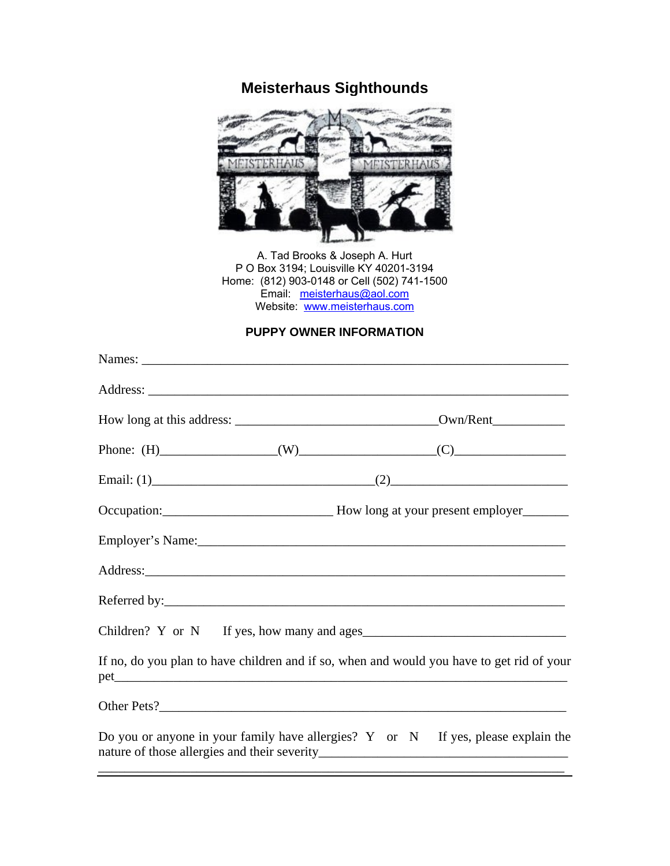## **Meisterhaus Sighthounds**



A. Tad Brooks & Joseph A. Hurt P O Box 3194; Louisville KY 40201-3194 Home: (812) 903-0148 or Cell (502) 741-1500 Email: [meisterhaus@aol.com](mailto:meisterhaus@aol.com) Website: [www.meisterhaus.com](http://www.meisterhaus.com/)

## **PUPPY OWNER INFORMATION**

| If no, do you plan to have children and if so, when and would you have to get rid of your |
|-------------------------------------------------------------------------------------------|
|                                                                                           |
| Do you or anyone in your family have allergies? $Y$ or $N$ If yes, please explain the     |

\_\_\_\_\_\_\_\_\_\_\_\_\_\_\_\_\_\_\_\_\_\_\_\_\_\_\_\_\_\_\_\_\_\_\_\_\_\_\_\_\_\_\_\_\_\_\_\_\_\_\_\_\_\_\_\_\_\_\_\_\_\_\_\_\_\_\_\_\_\_\_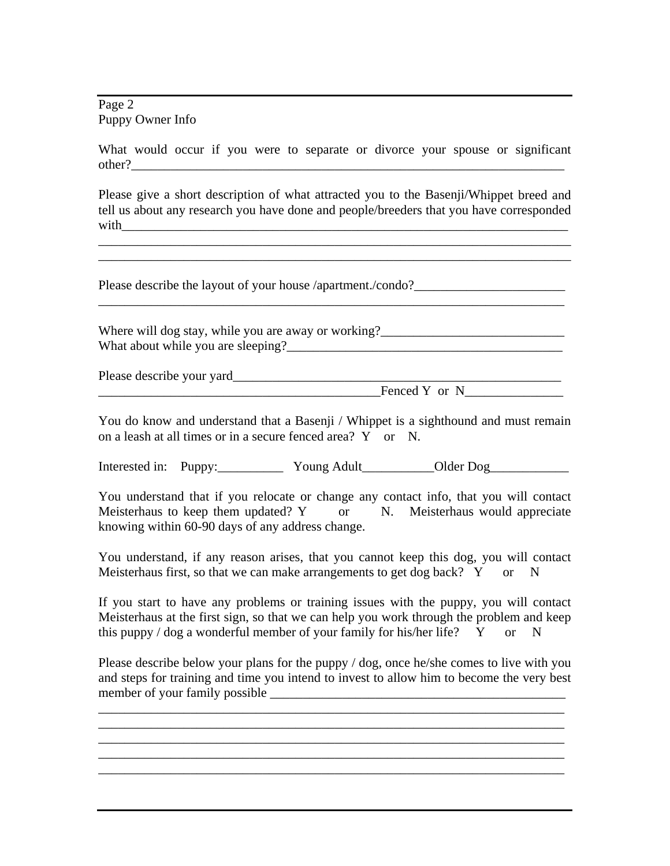Page 2 Puppy Owner Info

What would occur if you were to separate or divorce your spouse or significant other?\_\_\_\_\_\_\_\_\_\_\_\_\_\_\_\_\_\_\_\_\_\_\_\_\_\_\_\_\_\_\_\_\_\_\_\_\_\_\_\_\_\_\_\_\_\_\_\_\_\_\_\_\_\_\_\_\_\_\_\_\_\_\_\_\_\_

Please give a short description of what attracted you to the Basenji/Whippet breed and tell us about any research you have done and people/breeders that you have corresponded with  $\Box$ 

\_\_\_\_\_\_\_\_\_\_\_\_\_\_\_\_\_\_\_\_\_\_\_\_\_\_\_\_\_\_\_\_\_\_\_\_\_\_\_\_\_\_\_\_\_\_\_\_\_\_\_\_\_\_\_\_\_\_\_\_\_\_\_\_\_\_\_\_\_\_\_\_

Please describe the layout of your house /apartment./condo?

Where will dog stay, while you are away or working? What about while you are sleeping?\_\_\_\_\_\_\_\_\_\_\_\_\_\_\_\_\_\_\_\_\_\_\_\_\_\_\_\_\_\_\_\_\_\_\_\_\_\_\_\_\_\_

\_\_\_\_\_\_\_\_\_\_\_\_\_\_\_\_\_\_\_\_\_\_\_\_\_\_\_\_\_\_\_\_\_\_\_\_\_\_\_\_\_\_\_\_\_\_\_\_\_\_\_\_\_\_\_\_\_\_\_\_\_\_\_\_\_\_\_\_\_\_\_

Please describe your yard\_\_\_\_\_\_\_\_\_\_\_\_\_\_\_\_\_\_\_\_\_\_\_\_\_\_\_\_\_\_\_\_\_\_\_\_\_\_\_\_\_\_\_\_\_\_\_\_\_\_

Fenced Y or N

You do know and understand that a Basenji / Whippet is a sighthound and must remain on a leash at all times or in a secure fenced area? Y or N.

Interested in: Puppy:\_\_\_\_\_\_\_\_\_\_\_ Young Adult\_\_\_\_\_\_\_\_\_\_Older Dog\_\_\_\_\_\_\_\_\_\_\_\_\_\_\_\_\_

You understand that if you relocate or change any contact info, that you will contact Meisterhaus to keep them updated? Y or N. Meisterhaus would appreciate knowing within 60-90 days of any address change.

You understand, if any reason arises, that you cannot keep this dog, you will contact Meisterhaus first, so that we can make arrangements to get dog back?  $Y$  or N

If you start to have any problems or training issues with the puppy, you will contact Meisterhaus at the first sign, so that we can help you work through the problem and keep this puppy / dog a wonderful member of your family for his/her life?  $\overline{Y}$  or N

Please describe below your plans for the puppy / dog, once he/she comes to live with you and steps for training and time you intend to invest to allow him to become the very best member of your family possible

\_\_\_\_\_\_\_\_\_\_\_\_\_\_\_\_\_\_\_\_\_\_\_\_\_\_\_\_\_\_\_\_\_\_\_\_\_\_\_\_\_\_\_\_\_\_\_\_\_\_\_\_\_\_\_\_\_\_\_\_\_\_\_\_\_\_\_\_\_\_\_ \_\_\_\_\_\_\_\_\_\_\_\_\_\_\_\_\_\_\_\_\_\_\_\_\_\_\_\_\_\_\_\_\_\_\_\_\_\_\_\_\_\_\_\_\_\_\_\_\_\_\_\_\_\_\_\_\_\_\_\_\_\_\_\_\_\_\_\_\_\_\_

\_\_\_\_\_\_\_\_\_\_\_\_\_\_\_\_\_\_\_\_\_\_\_\_\_\_\_\_\_\_\_\_\_\_\_\_\_\_\_\_\_\_\_\_\_\_\_\_\_\_\_\_\_\_\_\_\_\_\_\_\_\_\_\_\_\_\_\_\_\_\_ \_\_\_\_\_\_\_\_\_\_\_\_\_\_\_\_\_\_\_\_\_\_\_\_\_\_\_\_\_\_\_\_\_\_\_\_\_\_\_\_\_\_\_\_\_\_\_\_\_\_\_\_\_\_\_\_\_\_\_\_\_\_\_\_\_\_\_\_\_\_\_